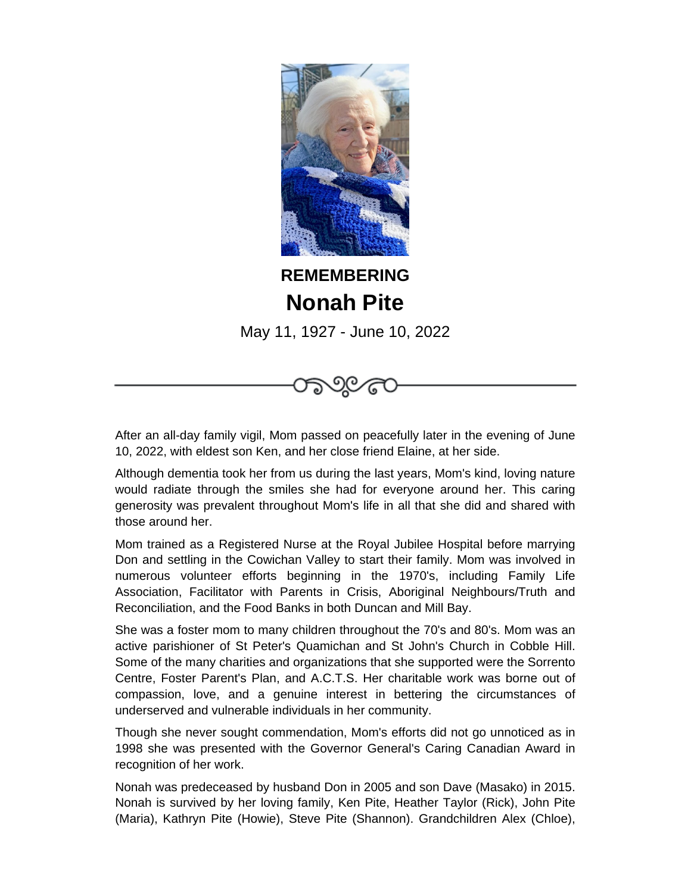

## **REMEMBERING Nonah Pite**

May 11, 1927 - June 10, 2022

೧೯೧



Although dementia took her from us during the last years, Mom's kind, loving nature would radiate through the smiles she had for everyone around her. This caring generosity was prevalent throughout Mom's life in all that she did and shared with those around her.

Mom trained as a Registered Nurse at the Royal Jubilee Hospital before marrying Don and settling in the Cowichan Valley to start their family. Mom was involved in numerous volunteer efforts beginning in the 1970's, including Family Life Association, Facilitator with Parents in Crisis, Aboriginal Neighbours/Truth and Reconciliation, and the Food Banks in both Duncan and Mill Bay.

She was a foster mom to many children throughout the 70's and 80's. Mom was an active parishioner of St Peter's Quamichan and St John's Church in Cobble Hill. Some of the many charities and organizations that she supported were the Sorrento Centre, Foster Parent's Plan, and A.C.T.S. Her charitable work was borne out of compassion, love, and a genuine interest in bettering the circumstances of underserved and vulnerable individuals in her community.

Though she never sought commendation, Mom's efforts did not go unnoticed as in 1998 she was presented with the Governor General's Caring Canadian Award in recognition of her work.

Nonah was predeceased by husband Don in 2005 and son Dave (Masako) in 2015. Nonah is survived by her loving family, Ken Pite, Heather Taylor (Rick), John Pite (Maria), Kathryn Pite (Howie), Steve Pite (Shannon). Grandchildren Alex (Chloe),